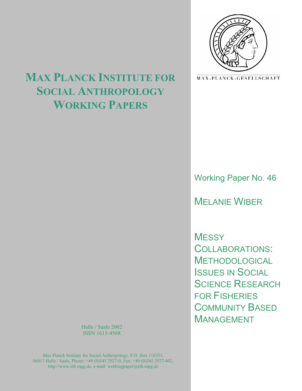

MAX-PLANCK-GESELLSCHAFT

# **MAX PLANCK INSTITUTE FOR SOCIAL ANTHROPOLOGY WORKING PAPERS**

Working Paper No. 46

MELANIE WIBER

**MESSY** COLLABORATIONS: **METHODOLOGICAL** ISSUES IN SOCIAL SCIENCE RESEARCH FOR FISHERIES COMMUNITY BASED MANAGEMENT

Halle / Saale 2002 ISSN 1615-4568

Max Planck Institute for Social Anthropology, P.O. Box 110351, 06017 Halle / Saale, Phone: +49 (0)345 2927-0, Fax: +49 (0)345 2927-402, http://www.eth.mpg.de, e-mail: workingpaper@eth.mpg.de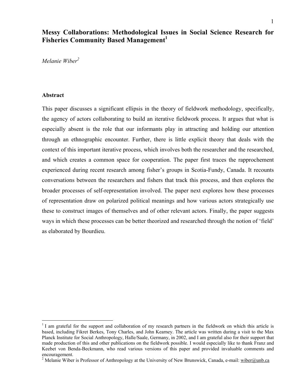# **Messy Collaborations: Methodological Issues in Social Science Research for Fisheries Community Based Management<sup>1</sup>**

*Melanie Wiber2*

#### **Abstract**

1

This paper discusses a significant ellipsis in the theory of fieldwork methodology, specifically, the agency of actors collaborating to build an iterative fieldwork process. It argues that what is especially absent is the role that our informants play in attracting and holding our attention through an ethnographic encounter. Further, there is little explicit theory that deals with the context of this important iterative process, which involves both the researcher and the researched, and which creates a common space for cooperation. The paper first traces the rapprochement experienced during recent research among fisher's groups in Scotia-Fundy, Canada. It recounts conversations between the researchers and fishers that track this process, and then explores the broader processes of self-representation involved. The paper next explores how these processes of representation draw on polarized political meanings and how various actors strategically use these to construct images of themselves and of other relevant actors. Finally, the paper suggests ways in which these processes can be better theorized and researched through the notion of 'field' as elaborated by Bourdieu.

<sup>&</sup>lt;sup>1</sup> I am grateful for the support and collaboration of my research partners in the fieldwork on which this article is based, including Fikret Berkes, Tony Charles, and John Kearney. The article was written during a visit to the Max Planck Institute for Social Anthropology, Halle/Saale, Germany, in 2002, and I am grateful also for their support that made production of this and other publications on the fieldwork possible. I would especially like to thank Franz and Keebet von Benda-Beckmann, who read various versions of this paper and provided invaluable comments and encouragement.

<sup>&</sup>lt;sup>2</sup> Melanie Wiber is Professor of Anthropology at the University of New Brunswick, Canada, e-mail: wiber@unb.ca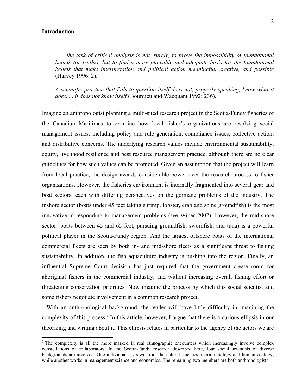#### **Introduction**

1

*. . . the task of critical analysis is not, surely, to prove the impossibility of foundational*  beliefs (or truths), but to find a more plausible and adequate basis for the foundational *beliefs that make interpretation and political action meaningful, creative, and possible*  (Harvey 1996: 2).

*A scientific practice that fails to question itself does not, properly speaking, know what it does. . . it does not know itself* (Bourdieu and Wacquant 1992: 236).

Imagine an anthropologist planning a multi-sited research project in the Scotia-Fundy fisheries of the Canadian Maritimes to examine how local fisher's organizations are resolving social management issues, including policy and rule generation, compliance issues, collective action, and distributive concerns. The underlying research values include environmental sustainability, equity, livelihood resilience and best resource management practice, although there are no clear guidelines for how such values can be promoted. Given an assumption that the project will learn from local practice, the design awards considerable power over the research process to fisher organizations. However, the fisheries environment is internally fragmented into several gear and boat sectors, each with differing perspectives on the germane problems of the industry. The inshore sector (boats under 45 feet taking shrimp, lobster, crab and some groundfish) is the most innovative in responding to management problems (see Wiber 2002). However, the mid-shore sector (boats between 45 and 65 feet, pursuing groundfish, swordfish, and tuna) is a powerful political player in the Scotia-Fundy region. And the largest offshore boats of the international commercial fleets are seen by both in- and mid-shore fleets as a significant threat to fishing sustainability. In addition, the fish aquaculture industry is pushing into the region. Finally, an influential Supreme Court decision has just required that the government create room for aboriginal fishers in the commercial industry, and without increasing overall fishing effort or threatening conservation priorities. Now imagine the process by which this social scientist and some fishers negotiate involvement in a common research project.

 With an anthropological background, the reader will have little difficulty in imagining the complexity of this process.<sup>3</sup> In this article, however, I argue that there is a curious ellipsis in our theorizing and writing about it. This ellipsis relates in particular to the agency of the actors we are

<sup>&</sup>lt;sup>3</sup> The complexity is all the more marked in real ethnographic encounters which increasingly involve complex constellations of collaborators. In the Scotia-Fundy research described here, four social scientists of diverse backgrounds are involved. One individual is drawn from the natural sciences, marine biology and human ecology, while another works in management science and economics. The remaining two members are both anthropologists.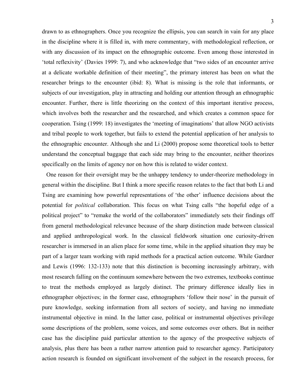drawn to as ethnographers. Once you recognize the ellipsis, you can search in vain for any place in the discipline where it is filled in, with mere commentary, with methodological reflection, or with any discussion of its impact on the ethnographic outcome. Even among those interested in 'total reflexivity' (Davies 1999: 7), and who acknowledge that "two sides of an encounter arrive at a delicate workable definition of their meeting", the primary interest has been on what the researcher brings to the encounter (ibid: 8). What is missing is the role that informants, or subjects of our investigation, play in attracting and holding our attention through an ethnographic encounter. Further, there is little theorizing on the context of this important iterative process, which involves both the researcher and the researched, and which creates a common space for cooperation. Tsing (1999: 18) investigates the 'meeting of imaginations' that allow NGO activists and tribal people to work together, but fails to extend the potential application of her analysis to the ethnographic encounter. Although she and Li (2000) propose some theoretical tools to better understand the conceptual baggage that each side may bring to the encounter, neither theorizes specifically on the limits of agency nor on how this is related to wider context.

 One reason for their oversight may be the unhappy tendency to under-theorize methodology in general within the discipline. But I think a more specific reason relates to the fact that both Li and Tsing are examining how powerful representations of 'the other' influence decisions about the potential for *political* collaboration. This focus on what Tsing calls "the hopeful edge of a political project" to "remake the world of the collaborators" immediately sets their findings off from general methodological relevance because of the sharp distinction made between classical and applied anthropological work. In the classical fieldwork situation one curiosity-driven researcher is immersed in an alien place for some time, while in the applied situation they may be part of a larger team working with rapid methods for a practical action outcome. While Gardner and Lewis (1996: 132-133) note that this distinction is becoming increasingly arbitrary, with most research falling on the continuum somewhere between the two extremes, textbooks continue to treat the methods employed as largely distinct. The primary difference ideally lies in ethnographer objectives; in the former case, ethnographers 'follow their nose' in the pursuit of pure knowledge, seeking information from all sectors of society, and having no immediate instrumental objective in mind. In the latter case, political or instrumental objectives privilege some descriptions of the problem, some voices, and some outcomes over others. But in neither case has the discipline paid particular attention to the agency of the prospective subjects of analysis, plus there has been a rather narrow attention paid to researcher agency. Participatory action research is founded on significant involvement of the subject in the research process, for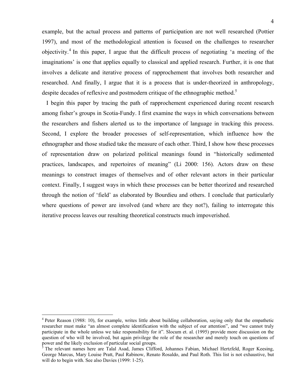example, but the actual process and patterns of participation are not well researched (Pottier 1997), and most of the methodological attention is focused on the challenges to researcher objectivity.<sup>4</sup> In this paper, I argue that the difficult process of negotiating 'a meeting of the imaginations' is one that applies equally to classical and applied research. Further, it is one that involves a delicate and iterative process of rapprochement that involves both researcher and researched. And finally, I argue that it is a process that is under-theorized in anthropology, despite decades of reflexive and postmodern critique of the ethnographic method.<sup>5</sup>

 I begin this paper by tracing the path of rapprochement experienced during recent research among fisher's groups in Scotia-Fundy. I first examine the ways in which conversations between the researchers and fishers alerted us to the importance of language in tracking this process. Second, I explore the broader processes of self-representation, which influence how the ethnographer and those studied take the measure of each other. Third, I show how these processes of representation draw on polarized political meanings found in "historically sedimented practices, landscapes, and repertoires of meaning" (Li 2000: 156). Actors draw on these meanings to construct images of themselves and of other relevant actors in their particular context. Finally, I suggest ways in which these processes can be better theorized and researched through the notion of 'field' as elaborated by Bourdieu and others. I conclude that particularly where questions of power are involved (and where are they not?), failing to interrogate this iterative process leaves our resulting theoretical constructs much impoverished.

<sup>&</sup>lt;sup>4</sup> Peter Reason (1988: 10), for example, writes little about building collaboration, saying only that the empathetic researcher must make "an almost complete identification with the subject of our attention", and "we cannot truly participate in the whole unless we take responsibility for it". Slocum et. al. (1995) provide more discussion on the question of who will be involved, but again privilege the role of the researcher and merely touch on questions of power and the likely exclusion of particular social groups. 5

<sup>&</sup>lt;sup>3</sup> The relevant names here are Talal Asad, James Clifford, Johannes Fabian, Michael Hertzfeld, Roger Keesing, George Marcus, Mary Louise Pratt, Paul Rabinow, Renato Rosaldo, and Paul Roth. This list is not exhaustive, but will do to begin with. See also Davies (1999: 1-25).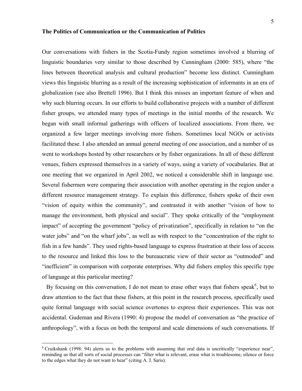#### **The Politics of Communication or the Communication of Politics**

Our conversations with fishers in the Scotia-Fundy region sometimes involved a blurring of linguistic boundaries very similar to those described by Cunningham (2000: 585), where "the lines between theoretical analysis and cultural production" become less distinct. Cunningham views this linguistic blurring as a result of the increasing sophistication of informants in an era of globalization (see also Brettell 1996). But I think this misses an important feature of when and why such blurring occurs. In our efforts to build collaborative projects with a number of different fisher groups, we attended many types of meetings in the initial months of the research. We began with small informal gatherings with officers of localized associations. From there, we organized a few larger meetings involving more fishers. Sometimes local NGOs or activists facilitated these. I also attended an annual general meeting of one association, and a number of us went to workshops hosted by other researchers or by fisher organizations. In all of these different venues, fishers expressed themselves in a variety of ways, using a variety of vocabularies. But at one meeting that we organized in April 2002, we noticed a considerable shift in language use. Several fishermen were comparing their association with another operating in the region under a different resource management strategy. To explain this difference, fishers spoke of their own "vision of equity within the community", and contrasted it with another "vision of how to manage the environment, both physical and social". They spoke critically of the "employment impact" of accepting the government "policy of privatization", specifically in relation to "on the water jobs" and "on the wharf jobs", as well as with respect to the "concentration of the right to fish in a few hands". They used rights-based language to express frustration at their loss of access to the resource and linked this loss to the bureaucratic view of their sector as "outmoded" and "inefficient" in comparison with corporate enterprises. Why did fishers employ this specific type of language at this particular meeting?

By focusing on this conversation, I do not mean to erase other ways that fishers speak<sup>6</sup>, but to draw attention to the fact that these fishers, at this point in the research process, specifically used quite formal language with social science overtones to express their experiences. This was not accidental. Gudeman and Rivera (1990: 4) propose the model of conversation as "the practice of anthropology", with a focus on both the temporal and scale dimensions of such conversations. If

<sup>&</sup>lt;sup>6</sup> Cruikshank (1998: 94) alerts us to the problems with assuming that oral data is uncritically "experience near", reminding us that all sorts of social processes can "filter what is relevant, erase what is troublesome, silence or force to the edges what they do not want to hear" (citing A. J. Saris).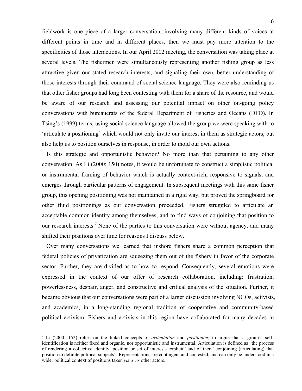6

fieldwork is one piece of a larger conversation, involving many different kinds of voices at different points in time and in different places, then we must pay more attention to the specificities of those interactions. In our April 2002 meeting, the conversation was taking place at several levels. The fishermen were simultaneously representing another fishing group as less attractive given our stated research interests, and signaling their own, better understanding of those interests through their command of social science language. They were also reminding us that other fisher groups had long been contesting with them for a share of the resource, and would be aware of our research and assessing our potential impact on other on-going policy conversations with bureaucrats of the federal Department of Fisheries and Oceans (DFO). In Tsing's (1999) terms, using social science language allowed the group we were speaking with to 'articulate a positioning' which would not only invite our interest in them as strategic actors, but also help us to position ourselves in response, in order to mold our own actions.

 Is this strategic and opportunistic behavior? No more than that pertaining to any other conversation. As Li (2000: 150) notes, it would be unfortunate to construct a simplistic political or instrumental framing of behavior which is actually context-rich, responsive to signals, and emerges through particular patterns of engagement. In subsequent meetings with this same fisher group, this opening positioning was not maintained in a rigid way, but proved the springboard for other fluid positionings as our conversation proceeded. Fishers struggled to articulate an acceptable common identity among themselves, and to find ways of conjoining that position to our research interests.<sup>7</sup> None of the parties to this conversation were without agency, and many shifted their positions over time for reasons I discuss below.

 Over many conversations we learned that inshore fishers share a common perception that federal policies of privatization are squeezing them out of the fishery in favor of the corporate sector. Further, they are divided as to how to respond. Consequently, several emotions were expressed in the context of our offer of research collaboration, including: frustration, powerlessness, despair, anger, and constructive and critical analysis of the situation. Further, it became obvious that our conversations were part of a larger discussion involving NGOs, activists, and academics, in a long-standing regional tradition of cooperative and community-based political activism. Fishers and activists in this region have collaborated for many decades in

<sup>7</sup> Li (2000: 152) relies on the linked concepts of *articulation* and *positioning* to argue that a group's selfidentification is neither fixed and organic, nor opportunistic and instrumental. Articulation is defined as "the process of rendering a collective identity, position or set of interests explicit" and of then "conjoining (articulating) that position to definite political subjects". Representations are contingent and contested, and can only be understood in a wider political context of positions taken *vis a vis* other actors.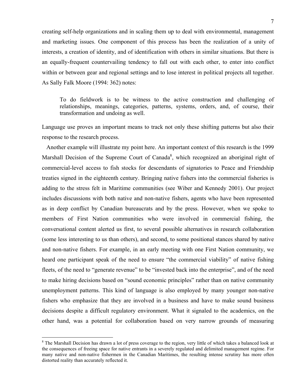creating self-help organizations and in scaling them up to deal with environmental, management and marketing issues. One component of this process has been the realization of a unity of interests, a creation of identity, and of identification with others in similar situations. But there is an equally-frequent countervailing tendency to fall out with each other, to enter into conflict within or between gear and regional settings and to lose interest in political projects all together. As Sally Falk Moore (1994: 362) notes:

To do fieldwork is to be witness to the active construction and challenging of relationships, meanings, categories, patterns, systems, orders, and, of course, their transformation and undoing as well.

Language use proves an important means to track not only these shifting patterns but also their response to the research process.

 Another example will illustrate my point here. An important context of this research is the 1999 Marshall Decision of the Supreme Court of Canada<sup>8</sup>, which recognized an aboriginal right of commercial-level access to fish stocks for descendants of signatories to Peace and Friendship treaties signed in the eighteenth century. Bringing native fishers into the commercial fisheries is adding to the stress felt in Maritime communities (see Wiber and Kennedy 2001). Our project includes discussions with both native and non-native fishers, agents who have been represented as in deep conflict by Canadian bureaucrats and by the press. However, when we spoke to members of First Nation communities who were involved in commercial fishing, the conversational content alerted us first, to several possible alternatives in research collaboration (some less interesting to us than others), and second, to some positional stances shared by native and non-native fishers. For example, in an early meeting with one First Nation community, we heard one participant speak of the need to ensure "the commercial viability" of native fishing fleets, of the need to "generate revenue" to be "invested back into the enterprise", and of the need to make hiring decisions based on "sound economic principles" rather than on native community unemployment patterns. This kind of language is also employed by many younger non-native fishers who emphasize that they are involved in a business and have to make sound business decisions despite a difficult regulatory environment. What it signaled to the academics, on the other hand, was a potential for collaboration based on very narrow grounds of measuring

<sup>&</sup>lt;sup>8</sup> The Marshall Decision has drawn a lot of press coverage to the region, very little of which takes a balanced look at the consequences of freeing space for native entrants in a severely regulated and delimited management regime. For many native and non-native fishermen in the Canadian Maritimes, the resulting intense scrutiny has more often distorted reality than accurately reflected it.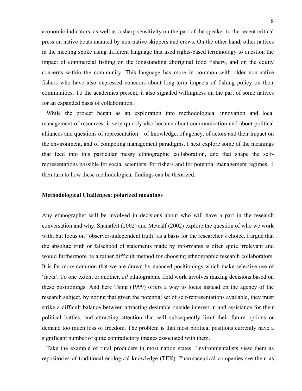economic indicators, as well as a sharp sensitivity on the part of the speaker to the recent critical press on native boats manned by non-native skippers and crews. On the other hand, other natives in the meeting spoke using different language that used rights-based terminology to question the impact of commercial fishing on the longstanding aboriginal food fishery, and on the equity concerns within the community. This language has more in common with older non-native fishers who have also expressed concerns about long-term impacts of fishing policy on their communities. To the academics present, it also signaled willingness on the part of some natives for an expanded basis of collaboration.

 While the project began as an exploration into methodological innovation and local management of resources, it very quickly also became about communication and about political alliances and questions of representation – of knowledge, of agency, of actors and their impact on the environment, and of competing management paradigms. I next explore some of the meanings that feed into this particular messy ethnographic collaboration, and that shape the selfrepresentations possible for social scientists, for fishers and for potential management regimes. I then turn to how these methodological findings can be theorized.

#### **Methodological Challenges: polarized meanings**

Any ethnographer will be involved in decisions about who will have a part in the research conversation and why. Shanafelt (2002) and Metcalf (2002) explore the question of who we work with, but focus on "observer-independent truth" as a basis for the researcher's choice. I argue that the absolute truth or falsehood of statements made by informants is often quite irrelevant and would furthermore be a rather difficult method for choosing ethnographic research collaborators. It is far more common that we are drawn by nuanced positionings which make selective use of 'facts'. To one extent or another, *all* ethnographic field work involves making decisions based on these positionings. And here Tsing (1999) offers a way to focus instead on the agency of the research subject, by noting that given the potential set of self-representations available, they must strike a difficult balance between attracting desirable outside interest in and assistance for their political battles, and attracting attention that will subsequently limit their future options or demand too much loss of freedom. The problem is that most political positions currently have a significant number of quite contradictory images associated with them.

 Take the example of rural producers in most nation states. Environmentalists view them as repositories of traditional ecological knowledge (TEK). Pharmaceutical companies see them as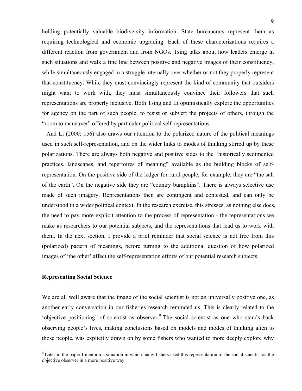holding potentially valuable biodiversity information. State bureaucrats represent them as requiring technological and economic upgrading. Each of these characterizations requires a different reaction from government and from NGOs. Tsing talks about how leaders emerge in such situations and walk a fine line between positive and negative images of their constituency, while simultaneously engaged in a struggle internally over whether or not they properly represent that constituency. While they must convincingly represent the kind of community that outsiders might want to work with, they must simultaneously convince their followers that such representations are properly inclusive. Both Tsing and Li optimistically explore the opportunities for agency on the part of such people, to resist or subvert the projects of others, through the "room to maneuver" offered by particular political self-representations.

 And Li (2000: 156) also draws our attention to the polarized nature of the political meanings used in such self-representation, and on the wider links to modes of thinking stirred up by these polarizations. There are always both negative and positive sides to the "historically sedimented practices, landscapes, and repertoires of meaning" available as the building blocks of selfrepresentation. On the positive side of the ledger for rural people, for example, they are "the salt of the earth". On the negative side they are "country bumpkins". There is always selective use made of such imagery. Representations then are contingent and contested, and can only be understood in a wider political context. In the research exercise, this stresses, as nothing else does, the need to pay more explicit attention to the process of representation - the representations we make as researchers to our potential subjects, and the representations that lead us to work with them. In the next section, I provide a brief reminder that social science is not free from this (polarized) pattern of meanings, before turning to the additional question of how polarized images of 'the other' affect the self-representation efforts of our potential research subjects.

# **Representing Social Science**

1

We are all well aware that the image of the social scientist is not an universally positive one, as another early conversation in our fisheries research reminded us. This is clearly related to the 'objective positioning' of scientist as observer.<sup>9</sup> The social scientist as one who stands back observing people's lives, making conclusions based on models and modes of thinking alien to those people, was explicitly drawn on by some fishers who wanted to more deeply explore why

<sup>&</sup>lt;sup>9</sup> Later in the paper I mention a situation in which many fishers used this representation of the social scientist as the objective observer in a more positive way.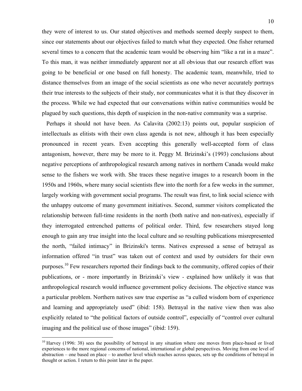they were of interest to us. Our stated objectives and methods seemed deeply suspect to them, since our statements about our objectives failed to match what they expected. One fisher returned several times to a concern that the academic team would be observing him "like a rat in a maze". To this man, it was neither immediately apparent nor at all obvious that our research effort was going to be beneficial or one based on full honesty. The academic team, meanwhile, tried to distance themselves from an image of the social scientists as one who never accurately portrays their true interests to the subjects of their study, nor communicates what it is that they discover in the process. While we had expected that our conversations within native communities would be plagued by such questions, this depth of suspicion in the non-native community was a surprise.

 Perhaps it should not have been. As Calavita (2002:13) points out, popular suspicion of intellectuals as elitists with their own class agenda is not new, although it has been especially pronounced in recent years. Even accepting this generally well-accepted form of class antagonism, however, there may be more to it. Peggy M. Brizinski's (1993) conclusions about negative perceptions of anthropological research among natives in northern Canada would make sense to the fishers we work with. She traces these negative images to a research boom in the 1950s and 1960s, where many social scientists flew into the north for a few weeks in the summer, largely working with government social programs. The result was first, to link social science with the unhappy outcome of many government initiatives. Second, summer visitors complicated the relationship between full-time residents in the north (both native and non-natives), especially if they interrogated entrenched patterns of political order. Third, few researchers stayed long enough to gain any true insight into the local culture and so resulting publications misrepresented the north, "failed intimacy" in Brizinski's terms. Natives expressed a sense of betrayal as information offered "in trust" was taken out of context and used by outsiders for their own purposes.<sup>10</sup> Few researchers reported their findings back to the community, offered copies of their publications, or - more importantly in Brizinski's view - explained how unlikely it was that anthropological research would influence government policy decisions. The objective stance was a particular problem. Northern natives saw true expertise as "a culled wisdom born of experience and learning and appropriately used" (ibid: 158). Betrayal in the native view then was also explicitly related to "the political factors of outside control", especially of "control over cultural imaging and the political use of those images" (ibid: 159).

 $10$  Harvey (1996: 38) sees the possibility of betraval in any situation where one moves from place-based or lived experiences to the more regional concerns of national, international or global perspectives. Moving from one level of abstraction – one based on place – to another level which reaches across spaces, sets up the conditions of betrayal in thought or action. I return to this point later in the paper.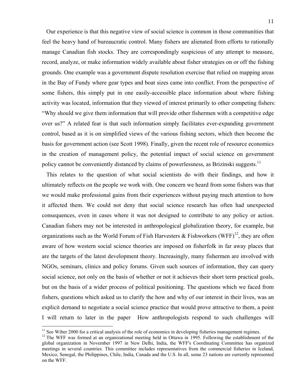Our experience is that this negative view of social science is common in those communities that feel the heavy hand of bureaucratic control. Many fishers are alienated from efforts to rationally manage Canadian fish stocks. They are correspondingly suspicious of any attempt to measure, record, analyze, or make information widely available about fisher strategies on or off the fishing grounds. One example was a government dispute resolution exercise that relied on mapping areas in the Bay of Fundy where gear types and boat sizes came into conflict. From the perspective of some fishers, this simply put in one easily-accessible place information about where fishing activity was located, information that they viewed of interest primarily to other competing fishers: "Why should we give them information that will provide other fishermen with a competitive edge over us?" A related fear is that such information simply facilitates ever-expanding government control, based as it is on simplified views of the various fishing sectors, which then become the basis for government action (see Scott 1998). Finally, given the recent role of resource economics in the creation of management policy, the potential impact of social science on government policy cannot be conveniently distanced by claims of powerlessness, as Brizinski suggests.<sup>11</sup>

 This relates to the question of what social scientists do with their findings, and how it ultimately reflects on the people we work with. One concern we heard from some fishers was that we would make professional gains from their experiences without paying much attention to how it affected them. We could not deny that social science research has often had unexpected consequences, even in cases where it was not designed to contribute to any policy or action. Canadian fishers may not be interested in anthropological globalization theory, for example, but organizations such as the World Forum of Fish Harvesters  $\&$  Fishworkers (WFF)<sup>12</sup>, they are often aware of how western social science theories are imposed on fisherfolk in far away places that are the targets of the latest development theory. Increasingly, many fishermen are involved with NGOs, seminars, clinics and policy forums. Given such sources of information, they can query social science, not only on the basis of whether or not it achieves their short term practical goals, but on the basis of a wider process of political positioning. The questions which we faced from fishers, questions which asked us to clarify the how and why of our interest in their lives, was an explicit demand to negotiate a social science practice that would prove attractive to them, a point I will return to later in the paper How anthropologists respond to such challenges will

<sup>&</sup>lt;sup>11</sup> See Wiber 2000 for a critical analysis of the role of economics in developing fisheries management regimes.

<sup>&</sup>lt;sup>12</sup> The WFF was formed at an organizational meeting held in Ottawa in 1995. Following the establishment of the global organization in November 1997 in New Delhi, India, the WFF's Coordinating Committee has organized meetings in several countries. This committee includes representatives from the commercial fisheries in Iceland, Mexico, Senegal, the Philippines, Chile, India, Canada and the U.S. In all, some 23 nations are currently represented on the WFF.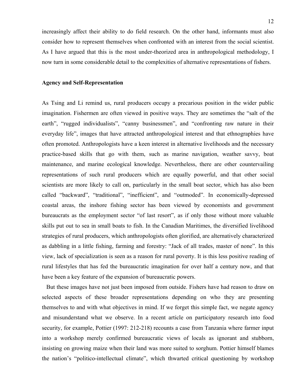increasingly affect their ability to do field research. On the other hand, informants must also consider how to represent themselves when confronted with an interest from the social scientist. As I have argued that this is the most under-theorized area in anthropological methodology, I now turn in some considerable detail to the complexities of alternative representations of fishers.

### **Agency and Self-Representation**

As Tsing and Li remind us, rural producers occupy a precarious position in the wider public imagination. Fishermen are often viewed in positive ways. They are sometimes the "salt of the earth", "rugged individualists", "canny businessmen", and "confronting raw nature in their everyday life", images that have attracted anthropological interest and that ethnographies have often promoted. Anthropologists have a keen interest in alternative livelihoods and the necessary practice-based skills that go with them, such as marine navigation, weather savvy, boat maintenance, and marine ecological knowledge. Nevertheless, there are other countervailing representations of such rural producers which are equally powerful, and that other social scientists are more likely to call on, particularly in the small boat sector, which has also been called "backward", "traditional", "inefficient", and "outmoded". In economically-depressed coastal areas, the inshore fishing sector has been viewed by economists and government bureaucrats as the employment sector "of last resort", as if only those without more valuable skills put out to sea in small boats to fish. In the Canadian Maritimes, the diversified livelihood strategies of rural producers, which anthropologists often glorified, are alternatively characterized as dabbling in a little fishing, farming and forestry: "Jack of all trades, master of none". In this view, lack of specialization is seen as a reason for rural poverty. It is this less positive reading of rural lifestyles that has fed the bureaucratic imagination for over half a century now, and that have been a key feature of the expansion of bureaucratic powers.

 But these images have not just been imposed from outside. Fishers have had reason to draw on selected aspects of these broader representations depending on who they are presenting themselves to and with what objectives in mind. If we forget this simple fact, we negate agency and misunderstand what we observe. In a recent article on participatory research into food security, for example, Pottier (1997: 212-218) recounts a case from Tanzania where farmer input into a workshop merely confirmed bureaucratic views of locals as ignorant and stubborn, insisting on growing maize when their land was more suited to sorghum. Pottier himself blames the nation's "politico-intellectual climate", which thwarted critical questioning by workshop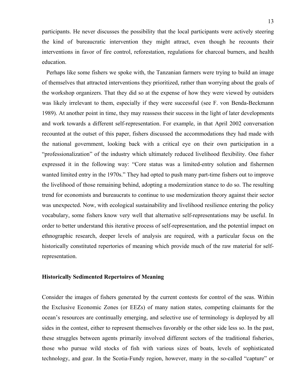participants. He never discusses the possibility that the local participants were actively steering the kind of bureaucratic intervention they might attract, even though he recounts their interventions in favor of fire control, reforestation, regulations for charcoal burners, and health education.

 Perhaps like some fishers we spoke with, the Tanzanian farmers were trying to build an image of themselves that attracted interventions they prioritized, rather than worrying about the goals of the workshop organizers. That they did so at the expense of how they were viewed by outsiders was likely irrelevant to them, especially if they were successful (see F. von Benda-Beckmann 1989). At another point in time, they may reassess their success in the light of later developments and work towards a different self-representation. For example, in that April 2002 conversation recounted at the outset of this paper, fishers discussed the accommodations they had made with the national government, looking back with a critical eye on their own participation in a "professionalization" of the industry which ultimately reduced livelihood flexibility. One fisher expressed it in the following way: "Core status was a limited-entry solution and fishermen wanted limited entry in the 1970s." They had opted to push many part-time fishers out to improve the livelihood of those remaining behind, adopting a modernization stance to do so. The resulting trend for economists and bureaucrats to continue to use modernization theory against their sector was unexpected. Now, with ecological sustainability and livelihood resilience entering the policy vocabulary, some fishers know very well that alternative self-representations may be useful. In order to better understand this iterative process of self-representation, and the potential impact on ethnographic research, deeper levels of analysis are required, with a particular focus on the historically constituted repertories of meaning which provide much of the raw material for selfrepresentation.

# **Historically Sedimented Repertoires of Meaning**

Consider the images of fishers generated by the current contests for control of the seas. Within the Exclusive Economic Zones (or EEZs) of many nation states, competing claimants for the ocean's resources are continually emerging, and selective use of terminology is deployed by all sides in the contest, either to represent themselves favorably or the other side less so. In the past, these struggles between agents primarily involved different sectors of the traditional fisheries, those who pursue wild stocks of fish with various sizes of boats, levels of sophisticated technology, and gear. In the Scotia-Fundy region, however, many in the so-called "capture" or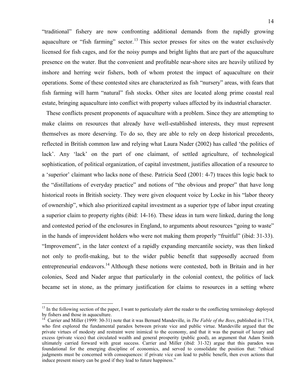"traditional" fishery are now confronting additional demands from the rapidly growing aquaculture or "fish farming" sector.<sup>13</sup> This sector presses for sites on the water exclusively licensed for fish cages, and for the noisy pumps and bright lights that are part of the aquaculture presence on the water. But the convenient and profitable near-shore sites are heavily utilized by inshore and herring weir fishers, both of whom protest the impact of aquaculture on their operations. Some of these contested sites are characterized as fish "nursery" areas, with fears that fish farming will harm "natural" fish stocks. Other sites are located along prime coastal real estate, bringing aquaculture into conflict with property values affected by its industrial character.

 These conflicts present proponents of aquaculture with a problem. Since they are attempting to make claims on resources that already have well-established interests, they must represent themselves as more deserving. To do so, they are able to rely on deep historical precedents, reflected in British common law and relying what Laura Nader (2002) has called 'the politics of lack'. Any 'lack' on the part of one claimant, of settled agriculture, of technological sophistication, of political organization, of capital investment, justifies allocation of a resource to a 'superior' claimant who lacks none of these. Patricia Seed (2001: 4-7) traces this logic back to the "distillations of everyday practice" and notions of "the obvious and proper" that have long historical roots in British society. They were given eloquent voice by Locke in his "labor theory of ownership", which also prioritized capital investment as a superior type of labor input creating a superior claim to property rights (ibid: 14-16). These ideas in turn were linked, during the long and contested period of the enclosures in England, to arguments about resources "going to waste" in the hands of improvident holders who were not making them properly "fruitful" (ibid: 31-33). "Improvement", in the later context of a rapidly expanding mercantile society, was then linked not only to profit-making, but to the wider public benefit that supposedly accrued from entrepreneurial endeavors.<sup>14</sup> Although these notions were contested, both in Britain and in her colonies, Seed and Nader argue that particularly in the colonial context, the politics of lack became set in stone, as the primary justification for claims to resources in a setting where

<u>.</u>

 $<sup>13</sup>$  In the following section of the paper. I want to particularly alert the reader to the conflicting terminology deployed</sup> by fishers and those in aquaculture.

<sup>&</sup>lt;sup>14</sup> Carrier and Miller (1999: 30-31) note that it was Bernard Mandeville, in *The Fable of the Bees*, published in 1714, who first explored the fundamental paradox between private vice and public virtue. Mandeville argued that the private virtues of modesty and restraint were inimical to the economy, and that it was the pursuit of luxury and excess (private vices) that circulated wealth and general prosperity (public good), an argument that Adam Smith ultimately carried forward with great success. Carrier and Miller (ibid: 31-32) argue that this paradox was foundational for the emerging discipline of economics, and served to consolidate the position that: "ethical judgments must be concerned with consequences: if private vice can lead to public benefit, then even actions that induce present misery can be good if they lead to future happiness."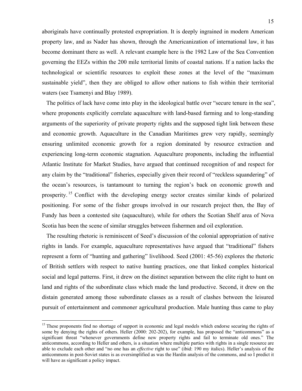aboriginals have continually protested expropriation. It is deeply ingrained in modern American property law, and as Nader has shown, through the Americanization of international law, it has become dominant there as well. A relevant example here is the 1982 Law of the Sea Convention governing the EEZs within the 200 mile territorial limits of coastal nations. If a nation lacks the technological or scientific resources to exploit these zones at the level of the "maximum sustainable yield", then they are obliged to allow other nations to fish within their territorial waters (see Tsamenyi and Blay 1989).

 The politics of lack have come into play in the ideological battle over "secure tenure in the sea", where proponents explicitly correlate aquaculture with land-based farming and to long-standing arguments of the superiority of private property rights and the supposed tight link between these and economic growth. Aquaculture in the Canadian Maritimes grew very rapidly, seemingly ensuring unlimited economic growth for a region dominated by resource extraction and experiencing long-term economic stagnation. Aquaculture proponents, including the influential Atlantic Institute for Market Studies, have argued that continued recognition of and respect for any claim by the "traditional" fisheries, especially given their record of "reckless squandering" of the ocean's resources, is tantamount to turning the region's back on economic growth and prosperity.<sup>15</sup> Conflict with the developing energy sector creates similar kinds of polarized positioning. For some of the fisher groups involved in our research project then, the Bay of Fundy has been a contested site (aquaculture), while for others the Scotian Shelf area of Nova Scotia has been the scene of similar struggles between fishermen and oil exploration.

 The resulting rhetoric is reminiscent of Seed's discussion of the colonial appropriation of native rights in lands. For example, aquaculture representatives have argued that "traditional" fishers represent a form of "hunting and gathering" livelihood. Seed (2001: 45-56) explores the rhetoric of British settlers with respect to native hunting practices, one that linked complex historical social and legal patterns. First, it drew on the distinct separation between the elite right to hunt on land and rights of the subordinate class which made the land productive. Second, it drew on the distain generated among those subordinate classes as a result of clashes between the leisured pursuit of entertainment and commoner agricultural production. Male hunting thus came to play

<sup>&</sup>lt;sup>15</sup> These proponents find no shortage of support in economic and legal models which endorse securing the rights of some by denying the rights of others. Heller (2000: 202-202), for example, has proposed the "anticommons" as a significant threat "whenever governments define new property rights and fail to terminate old ones." The anticommons, according to Heller and others, is a situation where multiple parties with rights in a single resource are able to exclude each other and "no one has an *effective* right to use" (ibid: 190 my italics). Heller's analysis of the anticommons in post-Soviet states is as oversimplified as was the Hardin analysis of the commons, and so I predict it will have as significant a policy impact.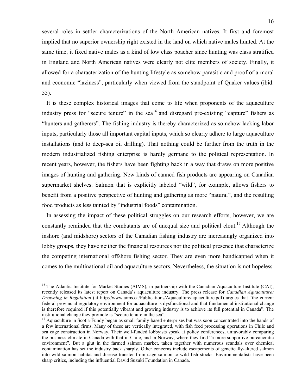several roles in settler characterizations of the North American natives. It first and foremost implied that no superior ownership right existed in the land on which native males hunted. At the same time, it fixed native males as a kind of low class poacher since hunting was class stratified in England and North American natives were clearly not elite members of society. Finally, it allowed for a characterization of the hunting lifestyle as somehow parasitic and proof of a moral and economic "laziness", particularly when viewed from the standpoint of Quaker values (ibid: 55).

 It is these complex historical images that come to life when proponents of the aquaculture industry press for "secure tenure" in the sea<sup>16</sup> and disregard pre-existing "capture" fishers as "hunters and gatherers". The fishing industry is thereby characterized as somehow lacking labor inputs, particularly those all important capital inputs, which so clearly adhere to large aquaculture installations (and to deep-sea oil drilling). That nothing could be further from the truth in the modern industrialized fishing enterprise is hardly germane to the political representation. In recent years, however, the fishers have been fighting back in a way that draws on more positive images of hunting and gathering. New kinds of canned fish products are appearing on Canadian supermarket shelves. Salmon that is explicitly labeled "wild", for example, allows fishers to benefit from a positive perspective of hunting and gathering as more "natural", and the resulting food products as less tainted by "industrial foods" contamination.

 In assessing the impact of these political struggles on our research efforts, however, we are constantly reminded that the combatants are of unequal size and political clout.<sup>17</sup> Although the inshore (and midshore) sectors of the Canadian fishing industry are increasingly organized into lobby groups, they have neither the financial resources nor the political presence that characterize the competing international offshore fishing sector. They are even more handicapped when it comes to the multinational oil and aquaculture sectors. Nevertheless, the situation is not hopeless.

<sup>&</sup>lt;sup>16</sup> The Atlantic Institute for Market Studies (AIMS), in partnership with the Canadian Aquaculture Institute (CAI), recently released its latest report on Canada's aquaculture industry. The press release for *Canadian Aquaculture: Drowning in Regulation* (at http://www.aims.ca/Publications/Aquaculture/aquaculture.pdf) argues that "the current federal-provincial regulatory environment for aquaculture is dysfunctional and that fundamental institutional change is therefore required if this potentially vibrant and growing industry is to achieve its full potential in Canada". The institutional change they promote is "secure tenure in the sea".

<sup>&</sup>lt;sup>17</sup> Aquaculture in Scotia-Fundy began as small family-based enterprises but was soon concentrated into the hands of a few international firms. Many of these are vertically integrated, with fish feed processing operations in Chile and sea cage construction in Norway. Their well-funded lobbyists speak at policy conferences, unfavorably comparing the business climate in Canada with that in Chile, and in Norway, where they find "a more supportive bureaucratic environment". But a glut in the farmed salmon market, taken together with numerous scandals over chemical contamination has set the industry back sharply. Other concerns include escapements of genetically-altered salmon into wild salmon habitat and disease transfer from cage salmon to wild fish stocks. Environmentalists have been sharp critics, including the influential David Suzuki Foundation in Canada.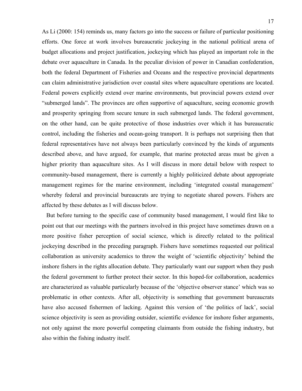As Li (2000: 154) reminds us, many factors go into the success or failure of particular positioning efforts. One force at work involves bureaucratic jockeying in the national political arena of budget allocations and project justification, jockeying which has played an important role in the debate over aquaculture in Canada. In the peculiar division of power in Canadian confederation, both the federal Department of Fisheries and Oceans and the respective provincial departments can claim administrative jurisdiction over coastal sites where aquaculture operations are located. Federal powers explicitly extend over marine environments, but provincial powers extend over "submerged lands". The provinces are often supportive of aquaculture, seeing economic growth and prosperity springing from secure tenure in such submerged lands. The federal government, on the other hand, can be quite protective of those industries over which it has bureaucratic control, including the fisheries and ocean-going transport. It is perhaps not surprising then that federal representatives have not always been particularly convinced by the kinds of arguments described above, and have argued, for example, that marine protected areas must be given a higher priority than aquaculture sites. As I will discuss in more detail below with respect to community-based management, there is currently a highly politicized debate about appropriate management regimes for the marine environment, including 'integrated coastal management' whereby federal and provincial bureaucrats are trying to negotiate shared powers. Fishers are affected by these debates as I will discuss below.

 But before turning to the specific case of community based management, I would first like to point out that our meetings with the partners involved in this project have sometimes drawn on a more positive fisher perception of social science, which is directly related to the political jockeying described in the preceding paragraph. Fishers have sometimes requested our political collaboration as university academics to throw the weight of 'scientific objectivity' behind the inshore fishers in the rights allocation debate. They particularly want our support when they push the federal government to further protect their sector. In this hoped-for collaboration, academics are characterized as valuable particularly because of the 'objective observer stance' which was so problematic in other contexts. After all, objectivity is something that government bureaucrats have also accused fishermen of lacking. Against this version of 'the politics of lack', social science objectivity is seen as providing outsider, scientific evidence for inshore fisher arguments, not only against the more powerful competing claimants from outside the fishing industry, but also within the fishing industry itself.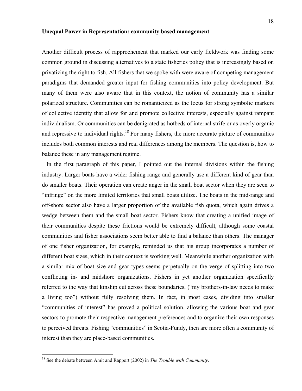#### **Unequal Power in Representation: community based management**

Another difficult process of rapprochement that marked our early fieldwork was finding some common ground in discussing alternatives to a state fisheries policy that is increasingly based on privatizing the right to fish. All fishers that we spoke with were aware of competing management paradigms that demanded greater input for fishing communities into policy development. But many of them were also aware that in this context, the notion of community has a similar polarized structure. Communities can be romanticized as the locus for strong symbolic markers of collective identity that allow for and promote collective interests, especially against rampant individualism. Or communities can be denigrated as hotbeds of internal strife or as overly organic and repressive to individual rights.<sup>18</sup> For many fishers, the more accurate picture of communities includes both common interests and real differences among the members. The question is, how to balance these in any management regime.

 In the first paragraph of this paper, I pointed out the internal divisions within the fishing industry. Larger boats have a wider fishing range and generally use a different kind of gear than do smaller boats. Their operation can create anger in the small boat sector when they are seen to "infringe" on the more limited territories that small boats utilize. The boats in the mid-range and off-shore sector also have a larger proportion of the available fish quota, which again drives a wedge between them and the small boat sector. Fishers know that creating a unified image of their communities despite these frictions would be extremely difficult, although some coastal communities and fisher associations seem better able to find a balance than others. The manager of one fisher organization, for example, reminded us that his group incorporates a number of different boat sizes, which in their context is working well. Meanwhile another organization with a similar mix of boat size and gear types seems perpetually on the verge of splitting into two conflicting in- and midshore organizations. Fishers in yet another organization specifically referred to the way that kinship cut across these boundaries, ("my brothers-in-law needs to make a living too") without fully resolving them. In fact, in most cases, dividing into smaller "communities of interest" has proved a political solution, allowing the various boat and gear sectors to promote their respective management preferences and to organize their own responses to perceived threats. Fishing "communities" in Scotia-Fundy, then are more often a community of interest than they are place-based communities.

<sup>18</sup> See the debate between Amit and Rapport (2002) in *The Trouble with Community*.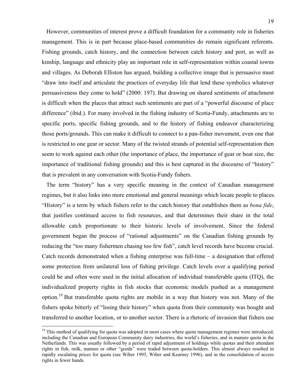However, communities of interest prove a difficult foundation for a community role in fisheries management. This is in part because place-based communities do remain significant referents. Fishing grounds, catch history, and the connection between catch history and port, as well as kinship, language and ethnicity play an important role in self-representation within coastal towns and villages. As Deborah Elliston has argued, building a collective image that is persuasive must "draw into itself and articulate the practices of everyday life that lend these symbolics whatever persuasiveness they come to hold" (2000: 197). But drawing on shared sentiments of attachment is difficult when the places that attract such sentiments are part of a "powerful discourse of place difference" (ibid.). For many involved in the fishing industry of Scotia-Fundy, attachments are to specific ports, specific fishing grounds, and to the history of fishing endeavor characterizing those ports/grounds. This can make it difficult to connect to a pan-fisher movement, even one that is restricted to one gear or sector. Many of the twisted strands of potential self-representation then seem to work against each other (the importance of place, the importance of gear or boat size, the importance of traditional fishing grounds) and this is best captured in the discourse of "history" that is prevalent in any conversation with Scotia-Fundy fishers.

 The term "history" has a very specific meaning in the context of Canadian management regimes, but it also links into more emotional and general meanings which locate people to places. "History" is a term by which fishers refer to the catch history that establishes them as *bona fide*, that justifies continued access to fish resources, and that determines their share in the total allowable catch proportionate to their historic levels of involvement. Since the federal government began the process of "rational adjustments" on the Canadian fishing grounds by reducing the "too many fishermen chasing too few fish", catch level records have become crucial. Catch records demonstrated when a fishing enterprise was full-time – a designation that offered some protection from unilateral loss of fishing privilege. Catch levels over a qualifying period could be and often were used in the initial allocation of individual transferable quota (ITQ), the individualized property rights in fish stocks that economic models pushed as a management option.<sup>19</sup> But transferable quota rights are mobile in a way that history was not. Many of the fishers spoke bitterly of "losing their history" when quota from their community was bought and transferred to another location, or to another sector. There is a rhetoric of invasion that fishers use

<sup>&</sup>lt;sup>19</sup> This method of qualifying for quota was adopted in most cases where quota management regimes were introduced, including the Canadian and European Community dairy industries, the world's fisheries, and in manure quota in the Netherlands. This was usually followed by a period of rapid adjustment of holdings while quotas and their attendant rights in fish, milk, manure or other "goods" were traded between quota-holders. This almost always resulted in rapidly escalating prices for quota (see Wiber 1995, Wiber and Kearney 1996), and in the consolidation of access rights in fewer hands.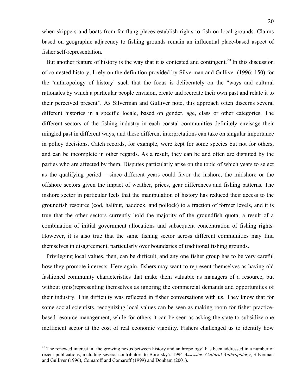when skippers and boats from far-flung places establish rights to fish on local grounds. Claims based on geographic adjacency to fishing grounds remain an influential place-based aspect of fisher self-representation.

But another feature of history is the way that it is contested and contingent.<sup>20</sup> In this discussion of contested history, I rely on the definition provided by Silverman and Gulliver (1996: 150) for the 'anthropology of history' such that the focus is deliberately on the "ways and cultural rationales by which a particular people envision, create and recreate their own past and relate it to their perceived present". As Silverman and Gulliver note, this approach often discerns several different histories in a specific locale, based on gender, age, class or other categories. The different sectors of the fishing industry in each coastal communities definitely envisage their mingled past in different ways, and these different interpretations can take on singular importance in policy decisions. Catch records, for example, were kept for some species but not for others, and can be incomplete in other regards. As a result, they can be and often are disputed by the parties who are affected by them. Disputes particularly arise on the topic of which years to select as the qualifying period – since different years could favor the inshore, the midshore or the offshore sectors given the impact of weather, prices, gear differences and fishing patterns. The inshore sector in particular feels that the manipulation of history has reduced their access to the groundfish resource (cod, halibut, haddock, and pollock) to a fraction of former levels, and it is true that the other sectors currently hold the majority of the groundfish quota, a result of a combination of initial government allocations and subsequent concentration of fishing rights. However, it is also true that the same fishing sector across different communities may find themselves in disagreement, particularly over boundaries of traditional fishing grounds.

 Privileging local values, then, can be difficult, and any one fisher group has to be very careful how they promote interests. Here again, fishers may want to represent themselves as having old fashioned community characteristics that make them valuable as managers of a resource, but without (mis)representing themselves as ignoring the commercial demands and opportunities of their industry. This difficulty was reflected in fisher conversations with us. They know that for some social scientists, recognizing local values can be seen as making room for fisher practicebased resource management, while for others it can be seen as asking the state to subsidize one inefficient sector at the cost of real economic viability. Fishers challenged us to identify how

<sup>&</sup>lt;sup>20</sup> The renewed interest in 'the growing nexus between history and anthropology' has been addressed in a number of recent publications, including several contributors to Borofsky's 1994 *Assessing Cultural Anthropology*, Silverman and Gulliver (1996), Comaroff and Comaroff (1999) and Donham (2001).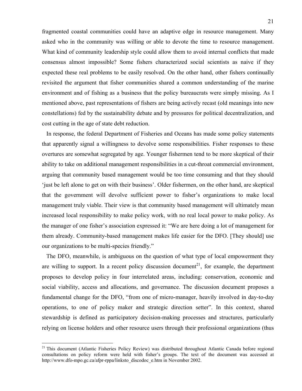fragmented coastal communities could have an adaptive edge in resource management. Many asked who in the community was willing or able to devote the time to resource management. What kind of community leadership style could allow them to avoid internal conflicts that made consensus almost impossible? Some fishers characterized social scientists as naive if they expected these real problems to be easily resolved. On the other hand, other fishers continually revisited the argument that fisher communities shared a common understanding of the marine environment and of fishing as a business that the policy bureaucrats were simply missing. As I mentioned above, past representations of fishers are being actively recast (old meanings into new constellations) fed by the sustainability debate and by pressures for political decentralization, and cost cutting in the age of state debt reduction.

 In response, the federal Department of Fisheries and Oceans has made some policy statements that apparently signal a willingness to devolve some responsibilities. Fisher responses to these overtures are somewhat segregated by age. Younger fishermen tend to be more skeptical of their ability to take on additional management responsibilities in a cut-throat commercial environment, arguing that community based management would be too time consuming and that they should 'just be left alone to get on with their business'. Older fishermen, on the other hand, are skeptical that the government will devolve sufficient power to fisher's organizations to make local management truly viable. Their view is that community based management will ultimately mean increased local responsibility to make policy work, with no real local power to make policy. As the manager of one fisher's association expressed it: "We are here doing a lot of management for them already. Community-based management makes life easier for the DFO. [They should] use our organizations to be multi-species friendly."

 The DFO, meanwhile, is ambiguous on the question of what type of local empowerment they are willing to support. In a recent policy discussion document<sup>21</sup>, for example, the department proposes to develop policy in four interrelated areas, including: conservation, economic and social viability, access and allocations, and governance. The discussion document proposes a fundamental change for the DFO, "from one of micro-manager, heavily involved in day-to-day operations, to one of policy maker and strategic direction setter". In this context, shared stewardship is defined as participatory decision-making processes and structures, particularly relying on license holders and other resource users through their professional organizations (thus

<sup>&</sup>lt;sup>21</sup> This document (Atlantic Fisheries Policy Review) was distributed throughout Atlantic Canada before regional consultations on policy reform were held with fisher's groups. The text of the document was accessed at http://www.dfo-mpo.gc.ca/afpr-rppa/linksto\_discodoc\_e.htm in November 2002.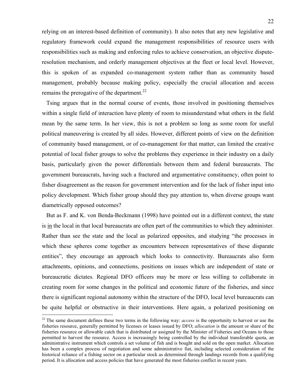relying on an interest-based definition of community). It also notes that any new legislative and regulatory framework could expand the management responsibilities of resource users with responsibilities such as making and enforcing rules to achieve conservation, an objective disputeresolution mechanism, and orderly management objectives at the fleet or local level. However, this is spoken of as expanded co-management system rather than as community based management, probably because making policy, especially the crucial allocation and access remains the prerogative of the department.<sup>22</sup>

 Tsing argues that in the normal course of events, those involved in positioning themselves within a single field of interaction have plenty of room to misunderstand what others in the field mean by the same term. In her view, this is not a problem so long as some room for useful political maneuvering is created by all sides. However, different points of view on the definition of community based management, or of co-management for that matter, can limited the creative potential of local fisher groups to solve the problems they experience in their industry on a daily basis, particularly given the power differentials between them and federal bureaucrats. The government bureaucrats, having such a fractured and argumentative constituency, often point to fisher disagreement as the reason for government intervention and for the lack of fisher input into policy development. Which fisher group should they pay attention to, when diverse groups want diametrically opposed outcomes?

 But as F. and K. von Benda-Beckmann (1998) have pointed out in a different context, the state is in the local in that local bureaucrats are often part of the communities to which they administer. Rather than see the state and the local as polarized opposites, and studying "the processes in which these spheres come together as encounters between representatives of these disparate entities", they encourage an approach which looks to connectivity. Bureaucrats also form attachments, opinions, and connections, positions on issues which are independent of state or bureaucratic dictates. Regional DFO officers may be more or less willing to collaborate in creating room for some changes in the political and economic future of the fisheries, and since there is significant regional autonomy within the structure of the DFO, local level bureaucrats can be quite helpful or obstructive in their interventions. Here again, a polarized positioning on

<sup>&</sup>lt;sup>22</sup> The same document defines these two terms in the following way: *access* is the opportunity to harvest or use the fisheries resource, generally permitted by licenses or leases issued by DFO; *allocation* is the amount or share of the fisheries resource or allowable catch that is distributed or assigned by the Minister of Fisheries and Oceans to those permitted to harvest the resource. Access is increasingly being controlled by the individual transferable quota, an administrative instrument which controls a set volume of fish and is bought and sold on the open market. Allocation has been a complex process of negotiation and some administrative fiat, including selected consideration of the historical reliance of a fishing sector on a particular stock as determined through landings records from a qualifying period. It is allocation and access policies that have generated the most fisheries conflict in recent years.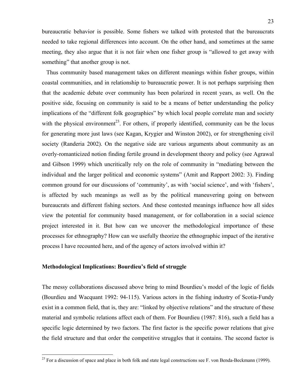bureaucratic behavior is possible. Some fishers we talked with protested that the bureaucrats needed to take regional differences into account. On the other hand, and sometimes at the same meeting, they also argue that it is not fair when one fisher group is "allowed to get away with something" that another group is not.

 Thus community based management takes on different meanings within fisher groups, within coastal communities, and in relationship to bureaucratic power. It is not perhaps surprising then that the academic debate over community has been polarized in recent years, as well. On the positive side, focusing on community is said to be a means of better understanding the policy implications of the "different folk geographies" by which local people correlate man and society with the physical environment<sup>23</sup>. For others, if properly identified, community can be the locus for generating more just laws (see Kagan, Krygier and Winston 2002), or for strengthening civil society (Randeria 2002). On the negative side are various arguments about community as an overly-romanticized notion finding fertile ground in development theory and policy (see Agrawal and Gibson 1999) which uncritically rely on the role of community in "mediating between the individual and the larger political and economic systems" (Amit and Rapport 2002: 3). Finding common ground for our discussions of 'community', as with 'social science', and with 'fishers', is affected by such meanings as well as by the political maneuvering going on between bureaucrats and different fishing sectors. And these contested meanings influence how all sides view the potential for community based management, or for collaboration in a social science project interested in it. But how can we uncover the methodological importance of these processes for ethnography? How can we usefully theorize the ethnographic impact of the iterative process I have recounted here, and of the agency of actors involved within it?

# **Methodological Implications: Bourdieu's field of struggle**

1

The messy collaborations discussed above bring to mind Bourdieu's model of the logic of fields (Bourdieu and Wacquant 1992: 94-115). Various actors in the fishing industry of Scotia-Fundy exist in a common field, that is, they are: "linked by objective relations" and the structure of these material and symbolic relations affect each of them. For Bourdieu (1987: 816), such a field has a specific logic determined by two factors. The first factor is the specific power relations that give the field structure and that order the competitive struggles that it contains. The second factor is

 $^{23}$  For a discussion of space and place in both folk and state legal constructions see F. von Benda-Beckmann (1999).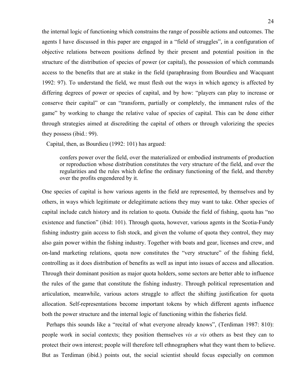the internal logic of functioning which constrains the range of possible actions and outcomes. The agents I have discussed in this paper are engaged in a "field of struggles", in a configuration of objective relations between positions defined by their present and potential position in the structure of the distribution of species of power (or capital), the possession of which commands access to the benefits that are at stake in the field (paraphrasing from Bourdieu and Wacquant 1992: 97). To understand the field, we must flesh out the ways in which agency is affected by differing degrees of power or species of capital, and by how: "players can play to increase or conserve their capital" or can "transform, partially or completely, the immanent rules of the game" by working to change the relative value of species of capital. This can be done either through strategies aimed at discrediting the capital of others or through valorizing the species they possess (ibid.: 99).

Capital, then, as Bourdieu (1992: 101) has argued:

confers power over the field, over the materialized or embodied instruments of production or reproduction whose distribution constitutes the very structure of the field, and over the regularities and the rules which define the ordinary functioning of the field, and thereby over the profits engendered by it.

One species of capital is how various agents in the field are represented, by themselves and by others, in ways which legitimate or delegitimate actions they may want to take. Other species of capital include catch history and its relation to quota. Outside the field of fishing, quota has "no existence and function" (ibid: 101). Through quota, however, various agents in the Scotia-Fundy fishing industry gain access to fish stock, and given the volume of quota they control, they may also gain power within the fishing industry. Together with boats and gear, licenses and crew, and on-land marketing relations, quota now constitutes the "very structure" of the fishing field, controlling as it does distribution of benefits as well as input into issues of access and allocation. Through their dominant position as major quota holders, some sectors are better able to influence the rules of the game that constitute the fishing industry. Through political representation and articulation, meanwhile, various actors struggle to affect the shifting justification for quota allocation. Self-representations become important tokens by which different agents influence both the power structure and the internal logic of functioning within the fisheries field.

 Perhaps this sounds like a "recital of what everyone already knows", (Terdiman 1987: 810): people work in social contexts; they position themselves *vis a vis* others as best they can to protect their own interest; people will therefore tell ethnographers what they want them to believe. But as Terdiman (ibid.) points out, the social scientist should focus especially on common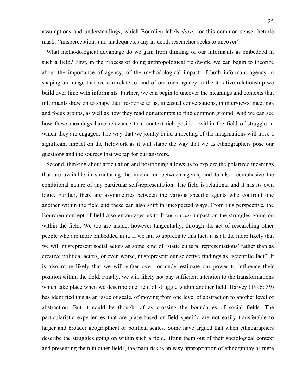assumptions and understandings, which Bourdieu labels *doxa*, for this common sense rhetoric masks "misperceptions and inadequacies any in-depth researcher seeks to uncover".

 What methodological advantage do we gain from thinking of our informants as embedded in such a field? First, in the process of doing anthropological fieldwork, we can begin to theorize about the importance of agency, of the methodological impact of both informant agency in shaping an image that we can relate to, and of our own agency in the iterative relationship we build over time with informants. Further, we can begin to uncover the meanings and contexts that informants draw on to shape their response to us, in casual conversations, in interviews, meetings and focus groups, as well as how they read our attempts to find common ground. And we can see how these meanings have relevance to a context-rich position within the field of struggle in which they are engaged. The way that we jointly build a meeting of the imaginations will have a significant impact on the fieldwork as it will shape the way that we as ethnographers pose our questions and the sources that we tap for our answers.

 Second, thinking about articulation and positioning allows us to explore the polarized meanings that are available in structuring the interaction between agents, and to also reemphasize the conditional nature of any particular self-representation. The field is relational and it has its own logic. Further, there are asymmetries between the various specific agents who confront one another within the field and these can also shift in unexpected ways. From this perspective, the Bourdieu concept of field also encourages us to focus on *our* impact on the struggles going on within the field. We too are inside, however tangentially, through the act of researching other people who are more embedded in it. If we fail to appreciate this fact, it is all the more likely that we will misrepresent social actors as some kind of 'static cultural representations' rather than as creative political actors, or even worse, misrepresent our selective findings as "scientific fact". It is also more likely that we will either over- or under-estimate our power to influence their position within the field. Finally, we will likely not pay sufficient attention to the transformations which take place when we describe one field of struggle within another field. Harvey (1996: 39) has identified this as an issue of scale, of moving from one level of abstraction to another level of abstraction. But it could be thought of as crossing the boundaries of social fields. The particularistic experiences that are place-based or field specific are not easily transferable to larger and broader geographical or political scales. Some have argued that when ethnographers describe the struggles going on within such a field, lifting them out of their sociological context and presenting them in other fields, the main risk is an easy appropriation of ethnography as mere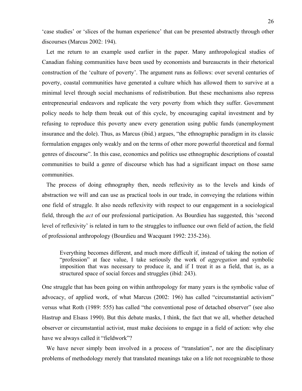'case studies' or 'slices of the human experience' that can be presented abstractly through other discourses (Marcus 2002: 194).

 Let me return to an example used earlier in the paper. Many anthropological studies of Canadian fishing communities have been used by economists and bureaucrats in their rhetorical construction of the 'culture of poverty'. The argument runs as follows: over several centuries of poverty, coastal communities have generated a culture which has allowed them to survive at a minimal level through social mechanisms of redistribution. But these mechanisms also repress entrepreneurial endeavors and replicate the very poverty from which they suffer. Government policy needs to help them break out of this cycle, by encouraging capital investment and by refusing to reproduce this poverty anew every generation using public funds (unemployment insurance and the dole). Thus, as Marcus (ibid.) argues, "the ethnographic paradigm in its classic formulation engages only weakly and on the terms of other more powerful theoretical and formal genres of discourse". In this case, economics and politics use ethnographic descriptions of coastal communities to build a genre of discourse which has had a significant impact on those same communities.

 The process of doing ethnography then, needs reflexivity as to the levels and kinds of abstraction we will and can use as practical tools in our trade, in conveying the relations within one field of struggle. It also needs reflexivity with respect to our engagement in a sociological field, through the *act* of our professional participation. As Bourdieu has suggested, this 'second level of reflexivity' is related in turn to the struggles to influence our own field of action, the field of professional anthropology (Bourdieu and Wacquant 1992: 235-236).

Everything becomes different, and much more difficult if, instead of taking the notion of "profession" at face value, I take seriously the work of *aggregation* and symbolic imposition that was necessary to produce it, and if I treat it as a field, that is, as a structured space of social forces and struggles (ibid: 243).

One struggle that has been going on within anthropology for many years is the symbolic value of advocacy, of applied work, of what Marcus (2002: 196) has called "circumstantial activism" versus what Roth (1989: 555) has called "the conventional pose of detached observer" (see also Hastrup and Elsass 1990). But this debate masks, I think, the fact that we all, whether detached observer or circumstantial activist, must make decisions to engage in a field of action: why else have we always called it "fieldwork"?

We have never simply been involved in a process of "translation", nor are the disciplinary problems of methodology merely that translated meanings take on a life not recognizable to those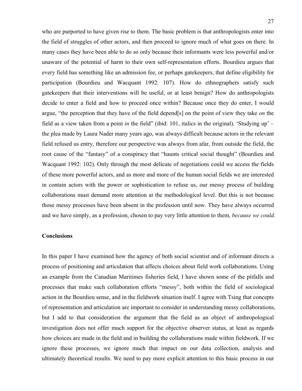who are purported to have given rise to them. The basic problem is that anthropologists enter into the field of struggles of other actors, and then proceed to ignore much of what goes on there. In many cases they have been able to do so only because their informants were less powerful and/or unaware of the potential of harm to their own self-representation efforts. Bourdieu argues that every field has something like an admission fee, or perhaps gatekeepers, that define eligibility for participation (Bourdieu and Wacquant 1992: 107). How do ethnographers satisfy such gatekeepers that their interventions will be useful, or at least benign? How do anthropologists decide to enter a field and how to proceed once within? Because once they do enter, I would argue, "the perception that they have of the field depend[s] on the point of view they take *on* the field as a view taken from a point *in* the field" (ibid: 101, italics in the original). 'Studying up' – the plea made by Laura Nader many years ago, was always difficult because actors in the relevant field refused us entry, therefore our perspective was always from afar, from outside the field, the root cause of the "fantasy" of a conspiracy that "haunts critical social thought" (Bourdieu and Wacquant 1992: 102). Only through the most delicate of negotiations could we access the fields of these more powerful actors, and as more and more of the human social fields we are interested in contain actors with the power or sophistication to refuse us, our messy process of building collaborations must demand more attention at the methodological level. But this is not because those messy processes have been absent in the profession until now. They have always occurred and we have simply, as a profession, chosen to pay very little attention to them, *because we could*.

#### **Conclusions**

In this paper I have examined how the agency of both social scientist and of informant directs a process of positioning and articulation that affects choices about field work collaborations. Using an example from the Canadian Maritimes fisheries field, I have shown some of the pitfalls and processes that make such collaboration efforts "messy", both within the field of sociological action in the Bourdieu sense, and in the fieldwork situation itself. I agree with Tsing that concepts of representation and articulation are important to consider in understanding messy collaborations, but I add to that consideration the argument that the field as an object of anthropological investigation does not offer much support for the objective observer status, at least as regards how choices are made in the field and in building the collaborations made within fieldwork. If we ignore these processes, we ignore much that impact on our data collection, analysis and ultimately theoretical results. We need to pay more explicit attention to this basic process in our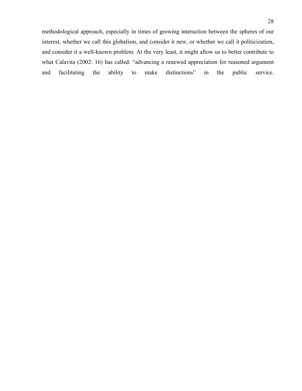methodological approach, especially in times of growing interaction between the spheres of our interest, whether we call this globalism, and consider it new, or whether we call it politicization, and consider it a well-known problem. At the very least, it might allow us to better contribute to what Calavita (2002: 16) has called: "advancing a renewed appreciation for reasoned argument and facilitating the ability to make distinctions" in the public service.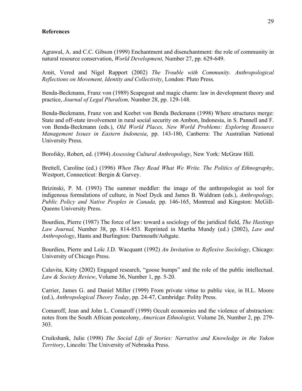#### **References**

Agrawal, A. and C.C. Gibson (1999) Enchantment and disenchantment: the role of community in natural resource conservation, *World Development,* Number 27, pp. 629-649.

Amit, Vered and Nigel Rapport (2002) *The Trouble with Community. Anthropological Reflections on Movement, Identity and Collectivity*, London: Pluto Press.

Benda-Beckmann, Franz von (1989) Scapegoat and magic charm: law in development theory and practice, *Journal of Legal Pluralism,* Number 28, pp. 129-148.

Benda-Beckmann, Franz von and Keebet von Benda Beckmann (1998) Where structures merge: State and off-state involvement in rural social security on Ambon, Indonesia, in S. Pannell and F. von Benda-Beckmann (eds.), *Old World Places, New World Problems: Exploring Resource Management Issues in Eastern Indonesia*, pp. 143-180, Canberra: The Australian National University Press.

Borofsky, Robert, ed. (1994) *Assessing Cultural Anthropology*, New York: McGraw Hill.

Brettell, Caroline (ed.) (1996) *When They Read What We Write. The Politics of Ethnography*, Westport, Connecticut: Bergin & Garvey.

Brizinski, P. M. (1993) The summer meddler: the image of the anthropologist as tool for indigenous formulations of culture, in Noel Dyck and James B. Waldram (eds.), *Anthropology, Public Policy and Native Peoples in Canada,* pp. 146-165, Montreal and Kingston: McGill-Queens University Press.

Bourdieu, Pierre (1987) The force of law: toward a sociology of the juridical field, *The Hastings Law Journal,* Number 38, pp. 814-853. Reprinted in Martha Mundy (ed.) (2002), *Law and Anthropology*, Hants and Burlington: Dartmouth/Ashgate.

Bourdieu, Pierre and Loïc J.D. Wacquant (1992) *An Invitation to Reflexive Sociology*, Chicago: University of Chicago Press.

Calavita, Kitty (2002) Engaged research, "goose bumps" and the role of the public intellectual. *Law & Society Review*, Volume 36, Number 1, pp. 5-20.

Carrier, James G. and Daniel Miller (1999) From private virtue to public vice, in H.L. Moore (ed.), *Anthropological Theory Today*, pp. 24-47, Cambridge: Polity Press.

Comaroff, Jean and John L. Comaroff (1999) Occult economies and the violence of abstraction: notes from the South African postcolony, *American Ethnologist,* Volume 26, Number 2, pp. 279- 303.

Cruikshank, Julie (1998) *The Social Life of Stories: Narrative and Knowledge in the Yukon Territory*, Lincoln: The University of Nebraska Press.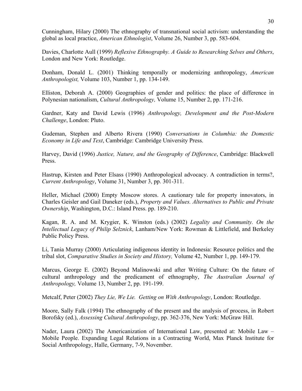Cunningham, Hilary (2000) The ethnography of transnational social activism: understanding the global as local practice, *American Ethnologist*, Volume 26, Number 3, pp. 583-604.

Davies, Charlotte Aull (1999) *Reflexive Ethnography. A Guide to Researching Selves and Others*, London and New York: Routledge.

Donham, Donald L. (2001) Thinking temporally or modernizing anthropology, *American Anthropologist,* Volume 103, Number 1, pp. 134-149.

Elliston, Deborah A. (2000) Geographies of gender and politics: the place of difference in Polynesian nationalism, *Cultural Anthropology,* Volume 15, Number 2, pp. 171-216.

Gardner, Katy and David Lewis (1996) *Anthropology, Development and the Post-Modern Challenge*, London: Pluto.

Gudeman, Stephen and Alberto Rivera (1990) *Conversations in Columbia: the Domestic Economy in Life and Text*, Cambridge: Cambridge University Press.

Harvey, David (1996) *Justice, Nature, and the Geography of Difference*, Cambridge: Blackwell Press.

Hastrup, Kirsten and Peter Elsass (1990) Anthropological advocacy. A contradiction in terms?, *Current Anthropology*, Volume 31, Number 3, pp. 301-311.

Heller, Michael (2000) Empty Moscow stores. A cautionary tale for property innovators, in Charles Geisler and Gail Daneker (eds.), *Property and Values. Alternatives to Public and Private Ownership*, Washington, D.C.: Island Press. pp. 189-210.

Kagan, R. A. and M. Krygier, K. Winston (eds.) (2002) *Legality and Community. On the Intellectual Legacy of Philip Selznick*, Lanham/New York: Rowman & Littlefield, and Berkeley Public Policy Press.

Li, Tania Murray (2000) Articulating indigenous identity in Indonesia: Resource politics and the tribal slot, *Comparative Studies in Society and History,* Volume 42, Number 1, pp. 149-179.

Marcus, George E. (2002) Beyond Malinowski and after Writing Culture: On the future of cultural anthropology and the predicament of ethnography, *The Australian Journal of Anthropology,* Volume 13, Number 2, pp. 191-199.

Metcalf, Peter (2002) *They Lie, We Lie. Getting on With Anthropology*, London: Routledge.

Moore, Sally Falk (1994) The ethnography of the present and the analysis of process, in Robert Borofsky (ed.), *Assessing Cultural Anthropology*, pp. 362-376, New York: McGraw Hill.

Nader, Laura (2002) The Americanization of International Law, presented at: Mobile Law – Mobile People. Expanding Legal Relations in a Contracting World, Max Planck Institute for Social Anthropology, Halle, Germany, 7-9, November.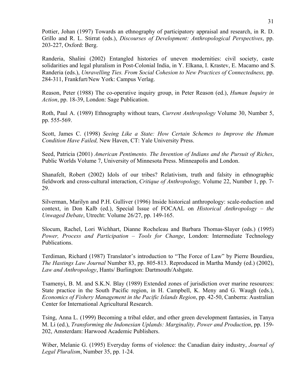Pottier, Johan (1997) Towards an ethnography of participatory appraisal and research, in R. D. Grillo and R. L. Stirrat (eds.), *Discourses of Development: Anthropological Perspectives*, pp. 203-227, Oxford: Berg.

Randeria, Shalini (2002) Entangled histories of uneven modernities: civil society, caste solidarities and legal pluralism in Post-Colonial India, in Y. Elkana, I. Krastev, E. Macamo and S. Randeria (eds.), *Unravelling Ties. From Social Cohesion to New Practices of Connectedness,* pp. 284-311, Frankfurt/New York: Campus Verlag.

Reason, Peter (1988) The co-operative inquiry group, in Peter Reason (ed.), *Human Inquiry in Action*, pp. 18-39, London: Sage Publication.

Roth, Paul A. (1989) Ethnography without tears, *Current Anthropology* Volume 30, Number 5, pp. 555-569.

Scott, James C. (1998) *Seeing Like a State: How Certain Schemes to Improve the Human Condition Have Failed,* New Haven, CT: Yale University Press.

Seed, Patricia (2001) *American Pentimento. The Invention of Indians and the Pursuit of Riches*, Public Worlds Volume 7, University of Minnesota Press. Minneapolis and London.

Shanafelt, Robert (2002) Idols of our tribes? Relativism, truth and falsity in ethnographic fieldwork and cross-cultural interaction, *Critique of Anthropology,* Volume 22, Number 1, pp. 7- 29.

Silverman, Marilyn and P.H. Gulliver (1996) Inside historical anthropology: scale-reduction and context, in Don Kalb (ed.), Special Issue of FOCAAL on *Historical Anthropology – the Unwaged Debate*, Utrecht: Volume 26/27, pp. 149-165.

Slocum, Rachel, Lori Wichhart, Dianne Rocheleau and Barbara Thomas-Slayer (eds.) (1995) *Power, Process and Participation – Tools for Change*, London: Intermediate Technology Publications.

Terdiman, Richard (1987) Translator's introduction to "The Force of Law" by Pierre Bourdieu, *The Hastings Law Journal* Number 83, pp. 805-813. Reproduced in Martha Mundy (ed.) (2002), *Law and Anthropology*, Hants/ Burlington: Dartmouth/Ashgate.

Tsamenyi, B. M. and S.K.N. Blay (1989) Extended zones of jurisdiction over marine resources: State practice in the South Pacific region, in H. Campbell, K. Meny and G. Waugh (eds.), *Economics of Fishery Management in the Pacific Islands Region*, pp. 42-50, Canberra: Australian Center for International Agricultural Research.

Tsing, Anna L. (1999) Becoming a tribal elder, and other green development fantasies, in Tanya M. Li (ed.), *Transforming the Indonesian Uplands: Marginality, Power and Production*, pp. 159- 202, Amsterdam: Harwood Academic Publishers.

Wiber, Melanie G. (1995) Everyday forms of violence: the Canadian dairy industry, *Journal of Legal Pluralism*, Number 35, pp. 1-24.